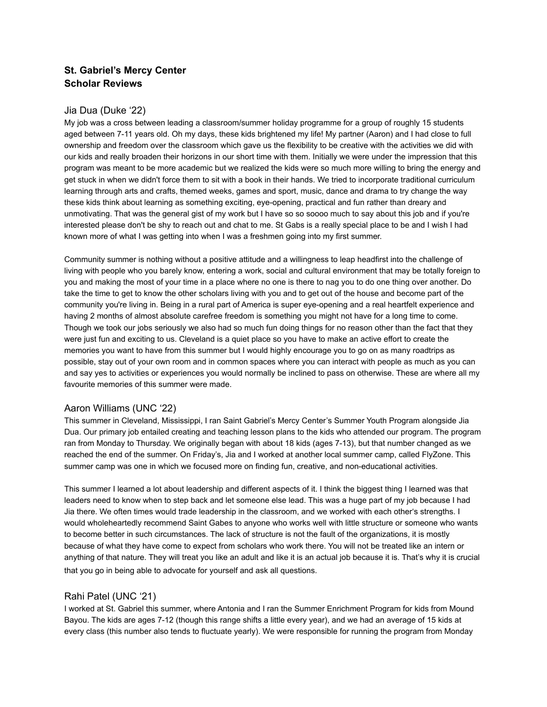# **St. Gabriel's Mercy Center Scholar Reviews**

## Jia Dua (Duke '22)

My job was a cross between leading a classroom/summer holiday programme for a group of roughly 15 students aged between 7-11 years old. Oh my days, these kids brightened my life! My partner (Aaron) and I had close to full ownership and freedom over the classroom which gave us the flexibility to be creative with the activities we did with our kids and really broaden their horizons in our short time with them. Initially we were under the impression that this program was meant to be more academic but we realized the kids were so much more willing to bring the energy and get stuck in when we didn't force them to sit with a book in their hands. We tried to incorporate traditional curriculum learning through arts and crafts, themed weeks, games and sport, music, dance and drama to try change the way these kids think about learning as something exciting, eye-opening, practical and fun rather than dreary and unmotivating. That was the general gist of my work but I have so so soooo much to say about this job and if you're interested please don't be shy to reach out and chat to me. St Gabs is a really special place to be and I wish I had known more of what I was getting into when I was a freshmen going into my first summer.

Community summer is nothing without a positive attitude and a willingness to leap headfirst into the challenge of living with people who you barely know, entering a work, social and cultural environment that may be totally foreign to you and making the most of your time in a place where no one is there to nag you to do one thing over another. Do take the time to get to know the other scholars living with you and to get out of the house and become part of the community you're living in. Being in a rural part of America is super eye-opening and a real heartfelt experience and having 2 months of almost absolute carefree freedom is something you might not have for a long time to come. Though we took our jobs seriously we also had so much fun doing things for no reason other than the fact that they were just fun and exciting to us. Cleveland is a quiet place so you have to make an active effort to create the memories you want to have from this summer but I would highly encourage you to go on as many roadtrips as possible, stay out of your own room and in common spaces where you can interact with people as much as you can and say yes to activities or experiences you would normally be inclined to pass on otherwise. These are where all my favourite memories of this summer were made.

# Aaron Williams (UNC '22)

This summer in Cleveland, Mississippi, I ran Saint Gabriel's Mercy Center's Summer Youth Program alongside Jia Dua. Our primary job entailed creating and teaching lesson plans to the kids who attended our program. The program ran from Monday to Thursday. We originally began with about 18 kids (ages 7-13), but that number changed as we reached the end of the summer. On Friday's, Jia and I worked at another local summer camp, called FlyZone. This summer camp was one in which we focused more on finding fun, creative, and non-educational activities.

This summer I learned a lot about leadership and different aspects of it. I think the biggest thing I learned was that leaders need to know when to step back and let someone else lead. This was a huge part of my job because I had Jia there. We often times would trade leadership in the classroom, and we worked with each other's strengths. I would wholeheartedly recommend Saint Gabes to anyone who works well with little structure or someone who wants to become better in such circumstances. The lack of structure is not the fault of the organizations, it is mostly because of what they have come to expect from scholars who work there. You will not be treated like an intern or anything of that nature. They will treat you like an adult and like it is an actual job because it is. That's why it is crucial that you go in being able to advocate for yourself and ask all questions.

#### Rahi Patel (UNC '21)

I worked at St. Gabriel this summer, where Antonia and I ran the Summer Enrichment Program for kids from Mound Bayou. The kids are ages 7-12 (though this range shifts a little every year), and we had an average of 15 kids at every class (this number also tends to fluctuate yearly). We were responsible for running the program from Monday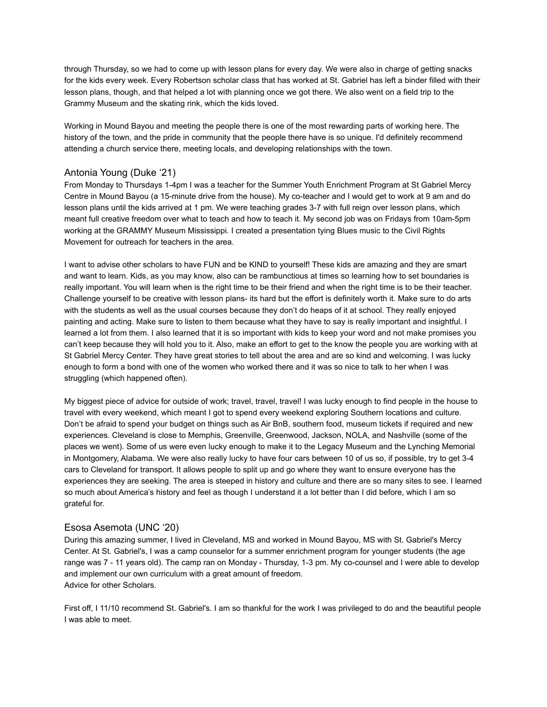through Thursday, so we had to come up with lesson plans for every day. We were also in charge of getting snacks for the kids every week. Every Robertson scholar class that has worked at St. Gabriel has left a binder filled with their lesson plans, though, and that helped a lot with planning once we got there. We also went on a field trip to the Grammy Museum and the skating rink, which the kids loved.

Working in Mound Bayou and meeting the people there is one of the most rewarding parts of working here. The history of the town, and the pride in community that the people there have is so unique. I'd definitely recommend attending a church service there, meeting locals, and developing relationships with the town.

# Antonia Young (Duke '21)

From Monday to Thursdays 1-4pm I was a teacher for the Summer Youth Enrichment Program at St Gabriel Mercy Centre in Mound Bayou (a 15-minute drive from the house). My co-teacher and I would get to work at 9 am and do lesson plans until the kids arrived at 1 pm. We were teaching grades 3-7 with full reign over lesson plans, which meant full creative freedom over what to teach and how to teach it. My second job was on Fridays from 10am-5pm working at the GRAMMY Museum Mississippi. I created a presentation tying Blues music to the Civil Rights Movement for outreach for teachers in the area.

I want to advise other scholars to have FUN and be KIND to yourself! These kids are amazing and they are smart and want to learn. Kids, as you may know, also can be rambunctious at times so learning how to set boundaries is really important. You will learn when is the right time to be their friend and when the right time is to be their teacher. Challenge yourself to be creative with lesson plans- its hard but the effort is definitely worth it. Make sure to do arts with the students as well as the usual courses because they don't do heaps of it at school. They really enjoyed painting and acting. Make sure to listen to them because what they have to say is really important and insightful. I learned a lot from them. I also learned that it is so important with kids to keep your word and not make promises you can't keep because they will hold you to it. Also, make an effort to get to the know the people you are working with at St Gabriel Mercy Center. They have great stories to tell about the area and are so kind and welcoming. I was lucky enough to form a bond with one of the women who worked there and it was so nice to talk to her when I was struggling (which happened often).

My biggest piece of advice for outside of work; travel, travel, travel! I was lucky enough to find people in the house to travel with every weekend, which meant I got to spend every weekend exploring Southern locations and culture. Don't be afraid to spend your budget on things such as Air BnB, southern food, museum tickets if required and new experiences. Cleveland is close to Memphis, Greenville, Greenwood, Jackson, NOLA, and Nashville (some of the places we went). Some of us were even lucky enough to make it to the Legacy Museum and the Lynching Memorial in Montgomery, Alabama. We were also really lucky to have four cars between 10 of us so, if possible, try to get 3-4 cars to Cleveland for transport. It allows people to split up and go where they want to ensure everyone has the experiences they are seeking. The area is steeped in history and culture and there are so many sites to see. I learned so much about America's history and feel as though I understand it a lot better than I did before, which I am so grateful for.

# Esosa Asemota (UNC '20)

During this amazing summer, I lived in Cleveland, MS and worked in Mound Bayou, MS with St. Gabriel's Mercy Center. At St. Gabriel's, I was a camp counselor for a summer enrichment program for younger students (the age range was 7 - 11 years old). The camp ran on Monday - Thursday, 1-3 pm. My co-counsel and I were able to develop and implement our own curriculum with a great amount of freedom. Advice for other Scholars.

First off, I 11/10 recommend St. Gabriel's. I am so thankful for the work I was privileged to do and the beautiful people I was able to meet.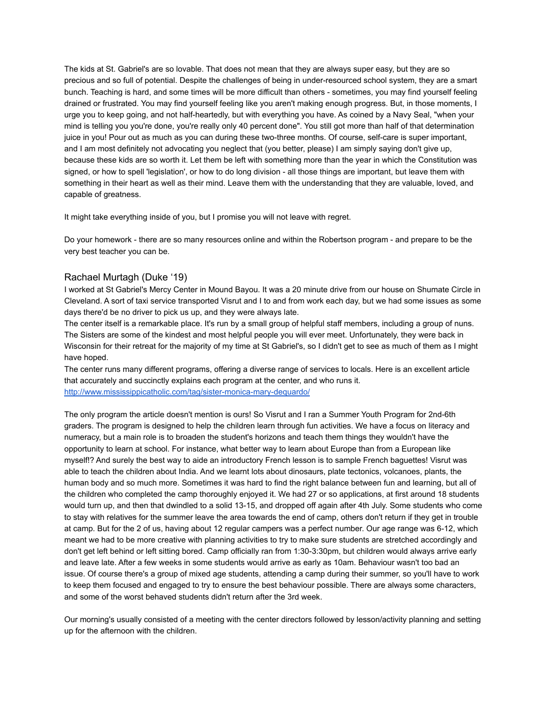The kids at St. Gabriel's are so lovable. That does not mean that they are always super easy, but they are so precious and so full of potential. Despite the challenges of being in under-resourced school system, they are a smart bunch. Teaching is hard, and some times will be more difficult than others - sometimes, you may find yourself feeling drained or frustrated. You may find yourself feeling like you aren't making enough progress. But, in those moments, I urge you to keep going, and not half-heartedly, but with everything you have. As coined by a Navy Seal, "when your mind is telling you you're done, you're really only 40 percent done". You still got more than half of that determination juice in you! Pour out as much as you can during these two-three months. Of course, self-care is super important, and I am most definitely not advocating you neglect that (you better, please) I am simply saying don't give up, because these kids are so worth it. Let them be left with something more than the year in which the Constitution was signed, or how to spell 'legislation', or how to do long division - all those things are important, but leave them with something in their heart as well as their mind. Leave them with the understanding that they are valuable, loved, and capable of greatness.

It might take everything inside of you, but I promise you will not leave with regret.

Do your homework - there are so many resources online and within the Robertson program - and prepare to be the very best teacher you can be.

## Rachael Murtagh (Duke '19)

I worked at St Gabriel's Mercy Center in Mound Bayou. It was a 20 minute drive from our house on Shumate Circle in Cleveland. A sort of taxi service transported Visrut and I to and from work each day, but we had some issues as some days there'd be no driver to pick us up, and they were always late.

The center itself is a remarkable place. It's run by a small group of helpful staff members, including a group of nuns. The Sisters are some of the kindest and most helpful people you will ever meet. Unfortunately, they were back in Wisconsin for their retreat for the majority of my time at St Gabriel's, so I didn't get to see as much of them as I might have hoped.

The center runs many different programs, offering a diverse range of services to locals. Here is an excellent article that accurately and succinctly explains each program at the center, and who runs it. <http://www.mississippicatholic.com/tag/sister-monica-mary-dequardo/>

The only program the article doesn't mention is ours! So Visrut and I ran a Summer Youth Program for 2nd-6th graders. The program is designed to help the children learn through fun activities. We have a focus on literacy and numeracy, but a main role is to broaden the student's horizons and teach them things they wouldn't have the opportunity to learn at school. For instance, what better way to learn about Europe than from a European like myself!? And surely the best way to aide an introductory French lesson is to sample French baguettes! Visrut was able to teach the children about India. And we learnt lots about dinosaurs, plate tectonics, volcanoes, plants, the human body and so much more. Sometimes it was hard to find the right balance between fun and learning, but all of the children who completed the camp thoroughly enjoyed it. We had 27 or so applications, at first around 18 students would turn up, and then that dwindled to a solid 13-15, and dropped off again after 4th July. Some students who come to stay with relatives for the summer leave the area towards the end of camp, others don't return if they get in trouble at camp. But for the 2 of us, having about 12 regular campers was a perfect number. Our age range was 6-12, which meant we had to be more creative with planning activities to try to make sure students are stretched accordingly and don't get left behind or left sitting bored. Camp officially ran from 1:30-3:30pm, but children would always arrive early and leave late. After a few weeks in some students would arrive as early as 10am. Behaviour wasn't too bad an issue. Of course there's a group of mixed age students, attending a camp during their summer, so you'll have to work to keep them focused and engaged to try to ensure the best behaviour possible. There are always some characters, and some of the worst behaved students didn't return after the 3rd week.

Our morning's usually consisted of a meeting with the center directors followed by lesson/activity planning and setting up for the afternoon with the children.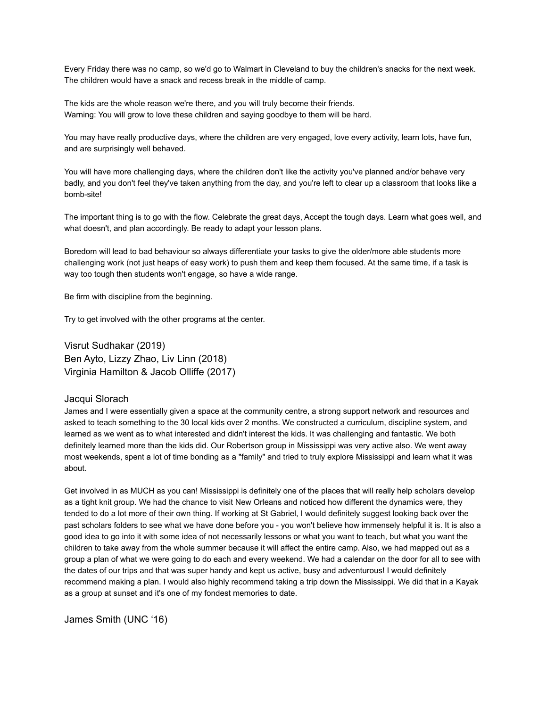Every Friday there was no camp, so we'd go to Walmart in Cleveland to buy the children's snacks for the next week. The children would have a snack and recess break in the middle of camp.

The kids are the whole reason we're there, and you will truly become their friends. Warning: You will grow to love these children and saying goodbye to them will be hard.

You may have really productive days, where the children are very engaged, love every activity, learn lots, have fun, and are surprisingly well behaved.

You will have more challenging days, where the children don't like the activity you've planned and/or behave very badly, and you don't feel they've taken anything from the day, and you're left to clear up a classroom that looks like a bomb-site!

The important thing is to go with the flow. Celebrate the great days, Accept the tough days. Learn what goes well, and what doesn't, and plan accordingly. Be ready to adapt your lesson plans.

Boredom will lead to bad behaviour so always differentiate your tasks to give the older/more able students more challenging work (not just heaps of easy work) to push them and keep them focused. At the same time, if a task is way too tough then students won't engage, so have a wide range.

Be firm with discipline from the beginning.

Try to get involved with the other programs at the center.

Visrut Sudhakar (2019) Ben Ayto, Lizzy Zhao, Liv Linn (2018) Virginia Hamilton & Jacob Olliffe (2017)

#### Jacqui Slorach

James and I were essentially given a space at the community centre, a strong support network and resources and asked to teach something to the 30 local kids over 2 months. We constructed a curriculum, discipline system, and learned as we went as to what interested and didn't interest the kids. It was challenging and fantastic. We both definitely learned more than the kids did. Our Robertson group in Mississippi was very active also. We went away most weekends, spent a lot of time bonding as a "family" and tried to truly explore Mississippi and learn what it was about.

Get involved in as MUCH as you can! Mississippi is definitely one of the places that will really help scholars develop as a tight knit group. We had the chance to visit New Orleans and noticed how different the dynamics were, they tended to do a lot more of their own thing. If working at St Gabriel, I would definitely suggest looking back over the past scholars folders to see what we have done before you - you won't believe how immensely helpful it is. It is also a good idea to go into it with some idea of not necessarily lessons or what you want to teach, but what you want the children to take away from the whole summer because it will affect the entire camp. Also, we had mapped out as a group a plan of what we were going to do each and every weekend. We had a calendar on the door for all to see with the dates of our trips and that was super handy and kept us active, busy and adventurous! I would definitely recommend making a plan. I would also highly recommend taking a trip down the Mississippi. We did that in a Kayak as a group at sunset and it's one of my fondest memories to date.

James Smith (UNC '16)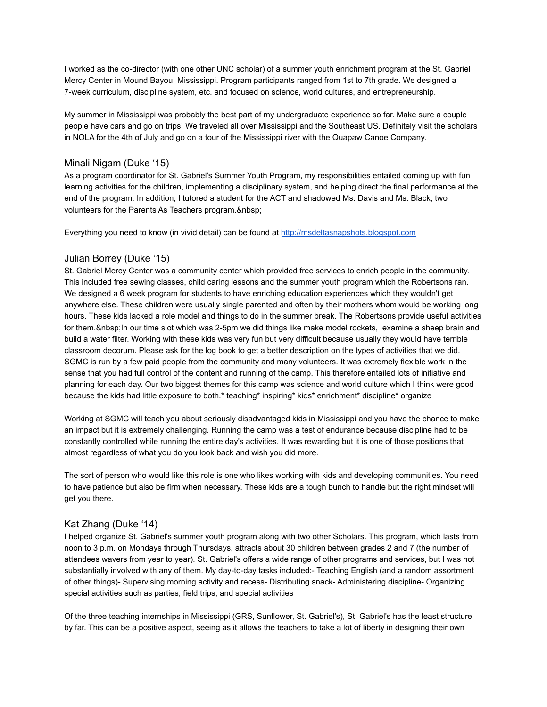I worked as the co-director (with one other UNC scholar) of a summer youth enrichment program at the St. Gabriel Mercy Center in Mound Bayou, Mississippi. Program participants ranged from 1st to 7th grade. We designed a 7-week curriculum, discipline system, etc. and focused on science, world cultures, and entrepreneurship.

My summer in Mississippi was probably the best part of my undergraduate experience so far. Make sure a couple people have cars and go on trips! We traveled all over Mississippi and the Southeast US. Definitely visit the scholars in NOLA for the 4th of July and go on a tour of the Mississippi river with the Quapaw Canoe Company.

## Minali Nigam (Duke '15)

As a program coordinator for St. Gabriel's Summer Youth Program, my responsibilities entailed coming up with fun learning activities for the children, implementing a disciplinary system, and helping direct the final performance at the end of the program. In addition, I tutored a student for the ACT and shadowed Ms. Davis and Ms. Black, two volunteers for the Parents As Teachers program.

Everything you need to know (in vivid detail) can be found at <http://msdeltasnapshots.blogspot.com>

## Julian Borrey (Duke '15)

St. Gabriel Mercy Center was a community center which provided free services to enrich people in the community. This included free sewing classes, child caring lessons and the summer youth program which the Robertsons ran. We designed a 6 week program for students to have enriching education experiences which they wouldn't get anywhere else. These children were usually single parented and often by their mothers whom would be working long hours. These kids lacked a role model and things to do in the summer break. The Robertsons provide useful activities for them. In our time slot which was 2-5pm we did things like make model rockets, examine a sheep brain and build a water filter. Working with these kids was very fun but very difficult because usually they would have terrible classroom decorum. Please ask for the log book to get a better description on the types of activities that we did. SGMC is run by a few paid people from the community and many volunteers. It was extremely flexible work in the sense that you had full control of the content and running of the camp. This therefore entailed lots of initiative and planning for each day. Our two biggest themes for this camp was science and world culture which I think were good because the kids had little exposure to both.\* teaching\* inspiring\* kids\* enrichment\* discipline\* organize

Working at SGMC will teach you about seriously disadvantaged kids in Mississippi and you have the chance to make an impact but it is extremely challenging. Running the camp was a test of endurance because discipline had to be constantly controlled while running the entire day's activities. It was rewarding but it is one of those positions that almost regardless of what you do you look back and wish you did more.

The sort of person who would like this role is one who likes working with kids and developing communities. You need to have patience but also be firm when necessary. These kids are a tough bunch to handle but the right mindset will get you there.

# Kat Zhang (Duke '14)

I helped organize St. Gabriel's summer youth program along with two other Scholars. This program, which lasts from noon to 3 p.m. on Mondays through Thursdays, attracts about 30 children between grades 2 and 7 (the number of attendees wavers from year to year). St. Gabriel's offers a wide range of other programs and services, but I was not substantially involved with any of them. My day-to-day tasks included:- Teaching English (and a random assortment of other things)- Supervising morning activity and recess- Distributing snack- Administering discipline- Organizing special activities such as parties, field trips, and special activities

Of the three teaching internships in Mississippi (GRS, Sunflower, St. Gabriel's), St. Gabriel's has the least structure by far. This can be a positive aspect, seeing as it allows the teachers to take a lot of liberty in designing their own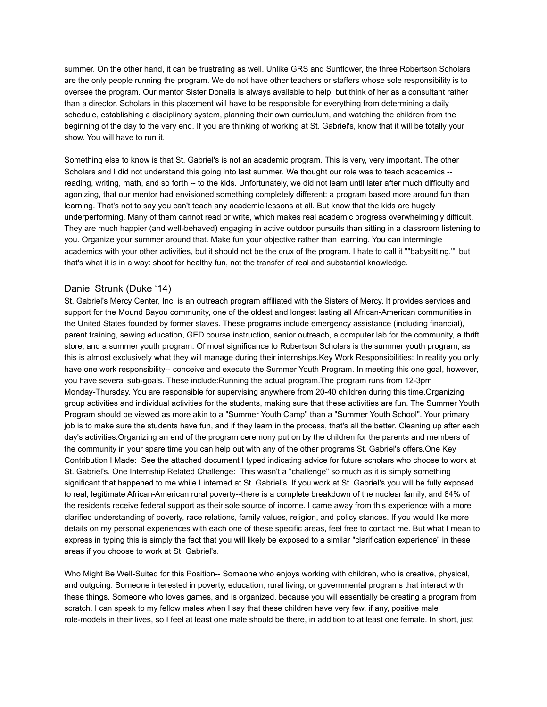summer. On the other hand, it can be frustrating as well. Unlike GRS and Sunflower, the three Robertson Scholars are the only people running the program. We do not have other teachers or staffers whose sole responsibility is to oversee the program. Our mentor Sister Donella is always available to help, but think of her as a consultant rather than a director. Scholars in this placement will have to be responsible for everything from determining a daily schedule, establishing a disciplinary system, planning their own curriculum, and watching the children from the beginning of the day to the very end. If you are thinking of working at St. Gabriel's, know that it will be totally your show. You will have to run it.

Something else to know is that St. Gabriel's is not an academic program. This is very, very important. The other Scholars and I did not understand this going into last summer. We thought our role was to teach academics - reading, writing, math, and so forth -- to the kids. Unfortunately, we did not learn until later after much difficulty and agonizing, that our mentor had envisioned something completely different: a program based more around fun than learning. That's not to say you can't teach any academic lessons at all. But know that the kids are hugely underperforming. Many of them cannot read or write, which makes real academic progress overwhelmingly difficult. They are much happier (and well-behaved) engaging in active outdoor pursuits than sitting in a classroom listening to you. Organize your summer around that. Make fun your objective rather than learning. You can intermingle academics with your other activities, but it should not be the crux of the program. I hate to call it ""babysitting,"" but that's what it is in a way: shoot for healthy fun, not the transfer of real and substantial knowledge.

#### Daniel Strunk (Duke '14)

St. Gabriel's Mercy Center, Inc. is an outreach program affiliated with the Sisters of Mercy. It provides services and support for the Mound Bayou community, one of the oldest and longest lasting all African-American communities in the United States founded by former slaves. These programs include emergency assistance (including financial), parent training, sewing education, GED course instruction, senior outreach, a computer lab for the community, a thrift store, and a summer youth program. Of most significance to Robertson Scholars is the summer youth program, as this is almost exclusively what they will manage during their internships.Key Work Responsibilities: In reality you only have one work responsibility-- conceive and execute the Summer Youth Program. In meeting this one goal, however, you have several sub-goals. These include:Running the actual program.The program runs from 12-3pm Monday-Thursday. You are responsible for supervising anywhere from 20-40 children during this time.Organizing group activities and individual activities for the students, making sure that these activities are fun. The Summer Youth Program should be viewed as more akin to a "Summer Youth Camp" than a "Summer Youth School". Your primary job is to make sure the students have fun, and if they learn in the process, that's all the better. Cleaning up after each day's activities.Organizing an end of the program ceremony put on by the children for the parents and members of the community in your spare time you can help out with any of the other programs St. Gabriel's offers.One Key Contribution I Made: See the attached document I typed indicating advice for future scholars who choose to work at St. Gabriel's. One Internship Related Challenge: This wasn't a "challenge" so much as it is simply something significant that happened to me while I interned at St. Gabriel's. If you work at St. Gabriel's you will be fully exposed to real, legitimate African-American rural poverty--there is a complete breakdown of the nuclear family, and 84% of the residents receive federal support as their sole source of income. I came away from this experience with a more clarified understanding of poverty, race relations, family values, religion, and policy stances. If you would like more details on my personal experiences with each one of these specific areas, feel free to contact me. But what I mean to express in typing this is simply the fact that you will likely be exposed to a similar "clarification experience" in these areas if you choose to work at St. Gabriel's.

Who Might Be Well-Suited for this Position-- Someone who enjoys working with children, who is creative, physical, and outgoing. Someone interested in poverty, education, rural living, or governmental programs that interact with these things. Someone who loves games, and is organized, because you will essentially be creating a program from scratch. I can speak to my fellow males when I say that these children have very few, if any, positive male role-models in their lives, so I feel at least one male should be there, in addition to at least one female. In short, just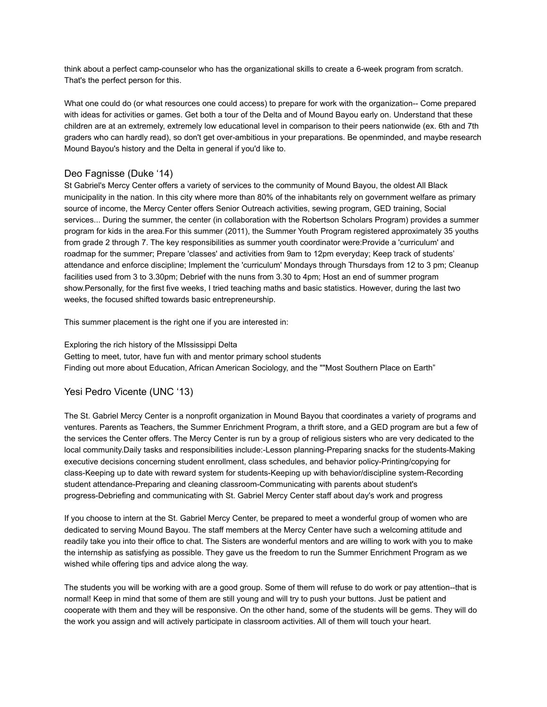think about a perfect camp-counselor who has the organizational skills to create a 6-week program from scratch. That's the perfect person for this.

What one could do (or what resources one could access) to prepare for work with the organization-- Come prepared with ideas for activities or games. Get both a tour of the Delta and of Mound Bayou early on. Understand that these children are at an extremely, extremely low educational level in comparison to their peers nationwide (ex. 6th and 7th graders who can hardly read), so don't get over-ambitious in your preparations. Be openminded, and maybe research Mound Bayou's history and the Delta in general if you'd like to.

# Deo Fagnisse (Duke '14)

St Gabriel's Mercy Center offers a variety of services to the community of Mound Bayou, the oldest All Black municipality in the nation. In this city where more than 80% of the inhabitants rely on government welfare as primary source of income, the Mercy Center offers Senior Outreach activities, sewing program, GED training, Social services... During the summer, the center (in collaboration with the Robertson Scholars Program) provides a summer program for kids in the area.For this summer (2011), the Summer Youth Program registered approximately 35 youths from grade 2 through 7. The key responsibilities as summer youth coordinator were:Provide a 'curriculum' and roadmap for the summer; Prepare 'classes' and activities from 9am to 12pm everyday; Keep track of students' attendance and enforce discipline; Implement the 'curriculum' Mondays through Thursdays from 12 to 3 pm; Cleanup facilities used from 3 to 3.30pm; Debrief with the nuns from 3.30 to 4pm; Host an end of summer program show.Personally, for the first five weeks, I tried teaching maths and basic statistics. However, during the last two weeks, the focused shifted towards basic entrepreneurship.

This summer placement is the right one if you are interested in:

#### Exploring the rich history of the MIssissippi Delta

Getting to meet, tutor, have fun with and mentor primary school students Finding out more about Education, African American Sociology, and the ""Most Southern Place on Earth"

# Yesi Pedro Vicente (UNC '13)

The St. Gabriel Mercy Center is a nonprofit organization in Mound Bayou that coordinates a variety of programs and ventures. Parents as Teachers, the Summer Enrichment Program, a thrift store, and a GED program are but a few of the services the Center offers. The Mercy Center is run by a group of religious sisters who are very dedicated to the local community.Daily tasks and responsibilities include:-Lesson planning-Preparing snacks for the students-Making executive decisions concerning student enrollment, class schedules, and behavior policy-Printing/copying for class-Keeping up to date with reward system for students-Keeping up with behavior/discipline system-Recording student attendance-Preparing and cleaning classroom-Communicating with parents about student's progress-Debriefing and communicating with St. Gabriel Mercy Center staff about day's work and progress

If you choose to intern at the St. Gabriel Mercy Center, be prepared to meet a wonderful group of women who are dedicated to serving Mound Bayou. The staff members at the Mercy Center have such a welcoming attitude and readily take you into their office to chat. The Sisters are wonderful mentors and are willing to work with you to make the internship as satisfying as possible. They gave us the freedom to run the Summer Enrichment Program as we wished while offering tips and advice along the way.

The students you will be working with are a good group. Some of them will refuse to do work or pay attention--that is normal! Keep in mind that some of them are still young and will try to push your buttons. Just be patient and cooperate with them and they will be responsive. On the other hand, some of the students will be gems. They will do the work you assign and will actively participate in classroom activities. All of them will touch your heart.